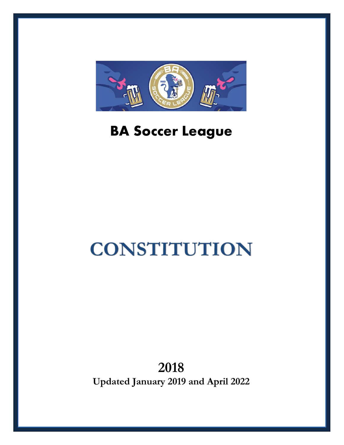

# **BA Soccer League**

# **CONSTITUTION**

**2018 Updated January 2019 and April 2022**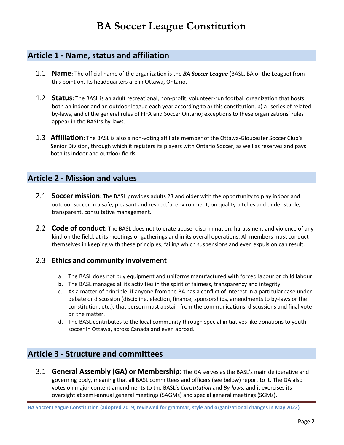# **Article 1 - Name, status and affiliation**

- 1.1 **Name:** The official name of the organization is the *BA Soccer League* (BASL, BA or the League) from this point on. Its headquarters are in Ottawa, Ontario.
- 1.2 **Status:** The BASL is an adult recreational, non-profit, volunteer-run football organization that hosts both an indoor and an outdoor league each year according to a) this constitution, b) a series of related by-laws, and c) the general rules of FIFA and Soccer Ontario; exceptions to these organizations' rules appear in the BASL's by-laws.
- 1.3 **Affiliation:** The BASL is also a non-voting affiliate member of the Ottawa-Gloucester Soccer Club's Senior Division, through which it registers its players with Ontario Soccer, as well as reserves and pays both its indoor and outdoor fields.

# **Article 2 - Mission and values**

- 2.1 **Soccer mission:** The BASL provides adults 23 and older with the opportunity to play indoor and outdoor soccer in a safe, pleasant and respectful environment, on quality pitches and under stable, transparent, consultative management.
- 2.2 **Code of conduct:** The BASL does not tolerate abuse, discrimination, harassment and violence of any kind on the field, at its meetings or gatherings and in its overall operations. All members must conduct themselves in keeping with these principles, failing which suspensions and even expulsion can result.

#### 2.3 **Ethics and community involvement**

- a. The BASL does not buy equipment and uniforms manufactured with forced labour or child labour.
- b. The BASL manages all its activities in the spirit of fairness, transparency and integrity.
- c. As a matter of principle, if anyone from the BA has a conflict of interest in a particular case under debate or discussion (discipline, election, finance, sponsorships, amendments to by-laws or the constitution, etc.), that person must abstain from the communications, discussions and final vote on the matter.
- d. The BASL contributes to the local community through special initiatives like donations to youth soccer in Ottawa, across Canada and even abroad.

# **Article 3 - Structure and committees**

3.1 **General Assembly (GA) or Membership**: The GA serves as the BASL's main deliberative and governing body, meaning that all BASL committees and officers (see below) report to it. The GA also votes on major content amendments to the BASL's *Constitution* and *By-laws*, and it exercises its oversight at semi-annual general meetings (SAGMs) and special general meetings (SGMs).

**BA Soccer League Constitution (adopted 2019; reviewed for grammar, style and organizational changes in May 2022)**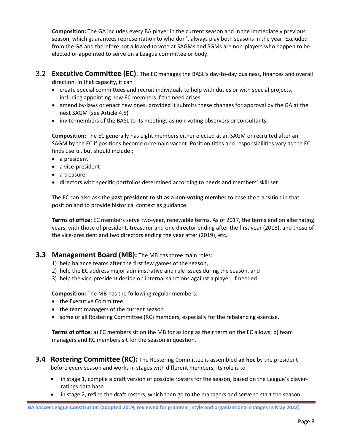**Composition:** The GA includes every BA player in the current season and in the immediately previous season, which guarantees representation to who don't always play both seasons in the year. Excluded from the GA and therefore not allowed to vote at SAGMs and SGMs are non-players who happen to be elected or appointed to serve on a League committee or body.

- 3.2 **Executive Committee (EC)**: The EC manages the BASL's day-to-day business, finances and overall direction. In that capacity, it can
	- create special committees and recruit individuals to help with duties or with special projects, including appointing new EC members if the need arises
	- amend by-laws or enact new ones, provided it submits these changes for approval by the GA at the next SAGM (see Article 4.5)
	- invite members of the BASL to its meetings as non-voting observers or consultants.

**Composition:** The EC generally has eight members either elected at an SAGM or recruited after an SAGM by the EC if positions become or remain vacant. Position titles and responsibilities vary as the EC finds useful, but should include :

- a president
- a vice-president
- a treasurer
- directors with specific portfolios determined according to needs and members' skill set.

The EC can also ask the **past president to sit as a non-voting member** to ease the transition in that position and to provide historical context as guidance.

**Terms of office:** EC members serve two-year, renewable terms. As of 2017, the terms end on alternating years, with those of president, treasurer and one director ending after the first year (2018), and those of the vice-president and two directors ending the year after (2019), etc.

#### **3.3 Management Board (MB):** The MB has three main roles:

- 1) help balance teams after the first few games of the season,
- 2) help the EC address major administrative and rule issues during the season, and
- 3) help the vice-president decide on internal sanctions against a player, if needed.

**Composition:** The MB has the following regular members:

- the Executive Committee
- the team managers of the current season
- some or all Rostering Committee (RC) members, especially for the rebalancing exercise.

**Terms of office:** a) EC members sit on the MB for as long as their term on the EC allows; b) team managers and RC members sit for the season in question.

- **3.4 Rostering Committee (RC):** The Rostering Committee is assembled **ad hoc** by the president before every season and works in stages with different members; its role is to
	- in stage 1, compile a draft version of possible rosters for the season, based on the League's playerratings data base
	- in stage 2, refine the draft rosters, which then go to the managers and serve to start the season

**BA Soccer League Constitution (adopted 2019; reviewed for grammar, style and organizational changes in May 2022)**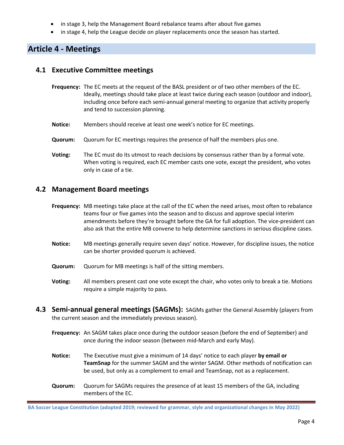- in stage 3, help the Management Board rebalance teams after about five games
- in stage 4, help the League decide on player replacements once the season has started.

# **Article 4 - Meetings**

### **4.1 Executive Committee meetings**

- **Frequency:** The EC meets at the request of the BASL president or of two other members of the EC. Ideally, meetings should take place at least twice during each season (outdoor and indoor), including once before each semi-annual general meeting to organize that activity properly and tend to succession planning.
- **Notice:** Members should receive at least one week's notice for EC meetings.
- **Quorum:** Quorum for EC meetings requires the presence of half the members plus one.
- **Voting:** The EC must do its utmost to reach decisions by consensus rather than by a formal vote. When voting is required, each EC member casts one vote, except the president, who votes only in case of a tie.

#### **4.2 Management Board meetings**

- **Frequency:** MB meetings take place at the call of the EC when the need arises, most often to rebalance teams four or five games into the season and to discuss and approve special interim amendments before they're brought before the GA for full adoption. The vice-president can also ask that the entire MB convene to help determine sanctions in serious discipline cases.
- **Notice:** MB meetings generally require seven days' notice. However, for discipline issues, the notice can be shorter provided quorum is achieved.
- **Quorum:** Quorum for MB meetings is half of the sitting members.
- **Voting:** All members present cast one vote except the chair, who votes only to break a tie. Motions require a simple majority to pass.
- **4.3 Semi-annual general meetings (SAGMs):** SAGMs gather the General Assembly (players from the current season and the immediately previous season).
	- **Frequency:** An SAGM takes place once during the outdoor season (before the end of September) and once during the indoor season (between mid-March and early May).
	- **Notice:** The Executive must give a minimum of 14 days' notice to each player **by email or TeamSnap** for the summer SAGM and the winter SAGM. Other methods of notification can be used, but only as a complement to email and TeamSnap, not as a replacement.
	- **Quorum:** Quorum for SAGMs requires the presence of at least 15 members of the GA, including members of the EC.

**BA Soccer League Constitution (adopted 2019; reviewed for grammar, style and organizational changes in May 2022)**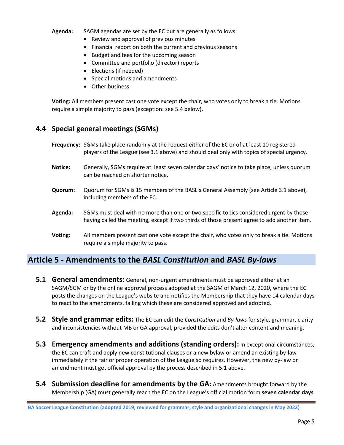**Agenda:** SAGM agendas are set by the EC but are generally as follows:

- Review and approval of previous minutes
- Financial report on both the current and previous seasons
- Budget and fees for the upcoming season
- Committee and portfolio (director) reports
- Elections (if needed)
- Special motions and amendments
- Other business

**Voting:** All members present cast one vote except the chair, who votes only to break a tie. Motions require a simple majority to pass (exception: see 5.4 below).

# **4.4 Special general meetings (SGMs)**

|         | Frequency: SGMs take place randomly at the request either of the EC or of at least 10 registered<br>players of the League (see 3.1 above) and should deal only with topics of special urgency. |
|---------|------------------------------------------------------------------------------------------------------------------------------------------------------------------------------------------------|
| Notice: | Generally, SGMs require at least seven calendar days' notice to take place, unless quorum<br>can be reached on shorter notice.                                                                 |
| Quorum: | Quorum for SGMs is 15 members of the BASL's General Assembly (see Article 3.1 above),<br>including members of the EC.                                                                          |
| Agenda: | SGMs must deal with no more than one or two specific topics considered urgent by those<br>having called the meeting, except if two thirds of those present agree to add another item.          |
| Voting: | All members present cast one vote except the chair, who votes only to break a tie. Motions                                                                                                     |

# **Article 5 - Amendments to the** *BASL Constitution* **and** *BASL By-laws*

require a simple majority to pass.

- **5.1 General amendments:** General, non-urgent amendments must be approved either at an SAGM/SGM or by the online approval process adopted at the SAGM of March 12, 2020, where the EC posts the changes on the League's website and notifies the Membership that they have 14 calendar days to react to the amendments, failing which these are considered approved and adopted.
- **5.2 Style and grammar edits:** The EC can edit the *Constitution* and *By-laws* for style, grammar, clarity and inconsistencies without MB or GA approval, provided the edits don't alter content and meaning.
- **5.3 Emergency amendments and additions (standing orders):** In exceptional circumstances, the EC can craft and apply new constitutional clauses or a new bylaw or amend an existing by-law immediately if the fair or proper operation of the League so requires. However, the new by-law or amendment must get official approval by the process described in 5.1 above.
- **5.4 Submission deadline for amendments by the GA:** Amendments brought forward by the Membership (GA) must generally reach the EC on the League's official motion form **seven calendar days**

**BA Soccer League Constitution (adopted 2019; reviewed for grammar, style and organizational changes in May 2022)**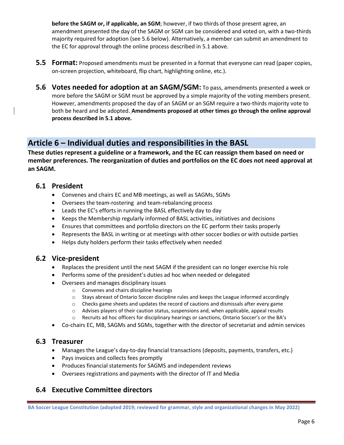**before the SAGM or, if applicable, an SGM**; however, if two thirds of those present agree, an amendment presented the day of the SAGM or SGM can be considered and voted on, with a two-thirds majority required for adoption (see 5.6 below). Alternatively, a member can submit an amendment to the EC for approval through the online process described in 5.1 above.

- **5.5 Format:** Proposed amendments must be presented in a format that everyone can read (paper copies, on-screen projection, whiteboard, flip chart, highlighting online, etc.).
- **5.6 Votes needed for adoption at an SAGM/SGM:** To pass, amendments presented a week or more before the SAGM or SGM must be approved by a simple majority of the voting members present. However, amendments proposed the day of an SAGM or an SGM require a two-thirds majority vote to both be heard and be adopted. **Amendments proposed at other times go through the online approval process described in 5.1 above.**

# **Article 6 – Individual duties and responsibilities in the BASL**

**These duties represent a guideline or a framework, and the EC can reassign them based on need or member preferences. The reorganization of duties and portfolios on the EC does not need approval at an SAGM.**

### **6.1 President**

- Convenes and chairs EC and MB meetings, as well as SAGMs, SGMs
- Oversees the team-rostering and team-rebalancing process
- Leads the EC's efforts in running the BASL effectively day to day
- Keeps the Membership regularly informed of BASL activities, initiatives and decisions
- Ensures that committees and portfolio directors on the EC perform their tasks properly
- Represents the BASL in writing or at meetings with other soccer bodies or with outside parties
- Helps duty holders perform their tasks effectively when needed

# **6.2 Vice-president**

- Replaces the president until the next SAGM if the president can no longer exercise his role
- Performs some of the president's duties ad hoc when needed or delegated
- Oversees and manages disciplinary issues
	- o Convenes and chairs discipline hearings
	- o Stays abreast of Ontario Soccer discipline rules and keeps the League informed accordingly
	- $\circ$  Checks game sheets and updates the record of cautions and dismissals after every game
	- o Advises players of their caution status, suspensions and, when applicable, appeal results
	- o Recruits ad hoc officers for disciplinary hearings or sanctions, Ontario Soccer's or the BA's
- Co-chairs EC, MB, SAGMs and SGMs, together with the director of secretariat and admin services

#### **6.3 Treasurer**

- Manages the League's day-to-day financial transactions (deposits, payments, transfers, etc.)
- Pays invoices and collects fees promptly
- Produces financial statements for SAGMS and independent reviews
- Oversees registrations and payments with the director of IT and Media

# **6.4 Executive Committee directors**

**BA Soccer League Constitution (adopted 2019; reviewed for grammar, style and organizational changes in May 2022)**